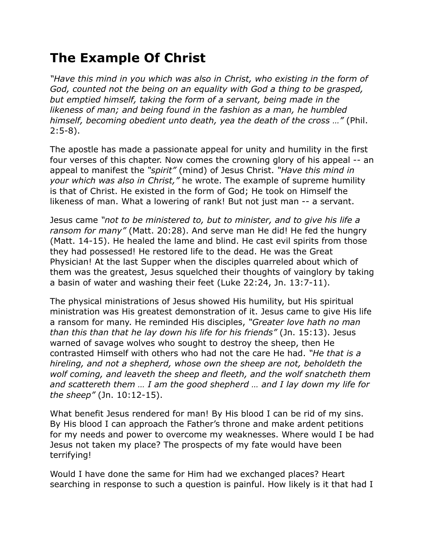## **The Example Of Christ**

*"Have this mind in you which was also in Christ, who existing in the form of God, counted not the being on an equality with God a thing to be grasped, but emptied himself, taking the form of a servant, being made in the likeness of man; and being found in the fashion as a man, he humbled himself, becoming obedient unto death, yea the death of the cross …"* (Phil. 2:5-8).

The apostle has made a passionate appeal for unity and humility in the first four verses of this chapter. Now comes the crowning glory of his appeal -- an appeal to manifest the *"spirit"* (mind) of Jesus Christ. *"Have this mind in your which was also in Christ,"* he wrote. The example of supreme humility is that of Christ. He existed in the form of God; He took on Himself the likeness of man. What a lowering of rank! But not just man -- a servant.

Jesus came *"not to be ministered to, but to minister, and to give his life a ransom for many"* (Matt. 20:28). And serve man He did! He fed the hungry (Matt. 14-15). He healed the lame and blind. He cast evil spirits from those they had possessed! He restored life to the dead. He was the Great Physician! At the last Supper when the disciples quarreled about which of them was the greatest, Jesus squelched their thoughts of vainglory by taking a basin of water and washing their feet (Luke 22:24, Jn. 13:7-11).

The physical ministrations of Jesus showed His humility, but His spiritual ministration was His greatest demonstration of it. Jesus came to give His life a ransom for many. He reminded His disciples, *"Greater love hath no man than this than that he lay down his life for his friends"* (Jn. 15:13). Jesus warned of savage wolves who sought to destroy the sheep, then He contrasted Himself with others who had not the care He had. *"He that is a hireling, and not a shepherd, whose own the sheep are not, beholdeth the wolf coming, and leaveth the sheep and fleeth, and the wolf snatcheth them and scattereth them … I am the good shepherd … and I lay down my life for the sheep"* (Jn. 10:12-15).

What benefit Jesus rendered for man! By His blood I can be rid of my sins. By His blood I can approach the Father's throne and make ardent petitions for my needs and power to overcome my weaknesses. Where would I be had Jesus not taken my place? The prospects of my fate would have been terrifying!

Would I have done the same for Him had we exchanged places? Heart searching in response to such a question is painful. How likely is it that had I